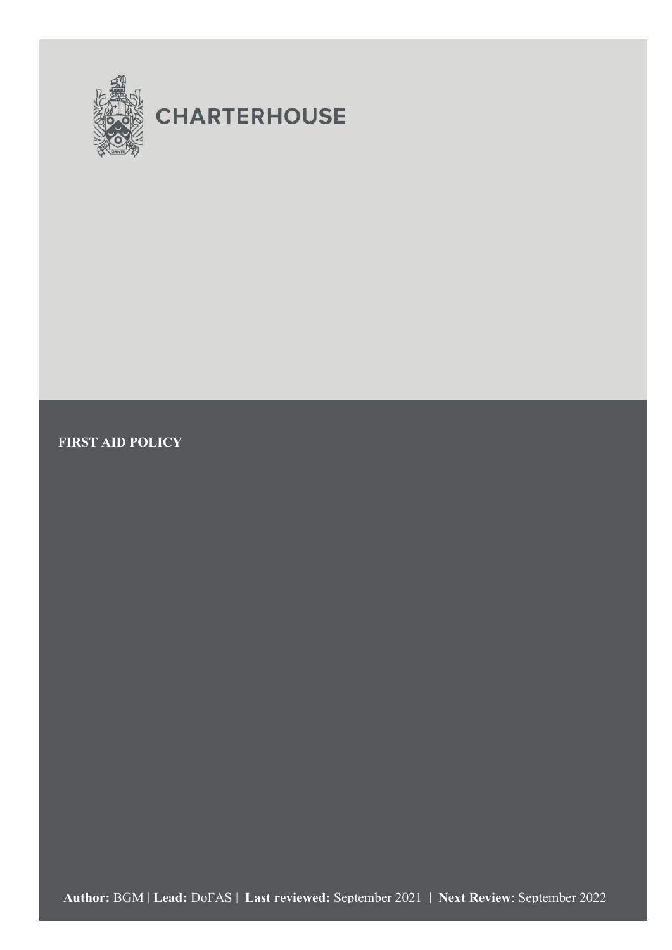

# **CHARTERHOUSE**

**FIRST AID POLICY**

1 First Aid Policy (for website publication) – Aug 2021 **Author:** BGM | **Lead:** DoFAS | **Last reviewed:** September 2021 | **Next Review**: September 2022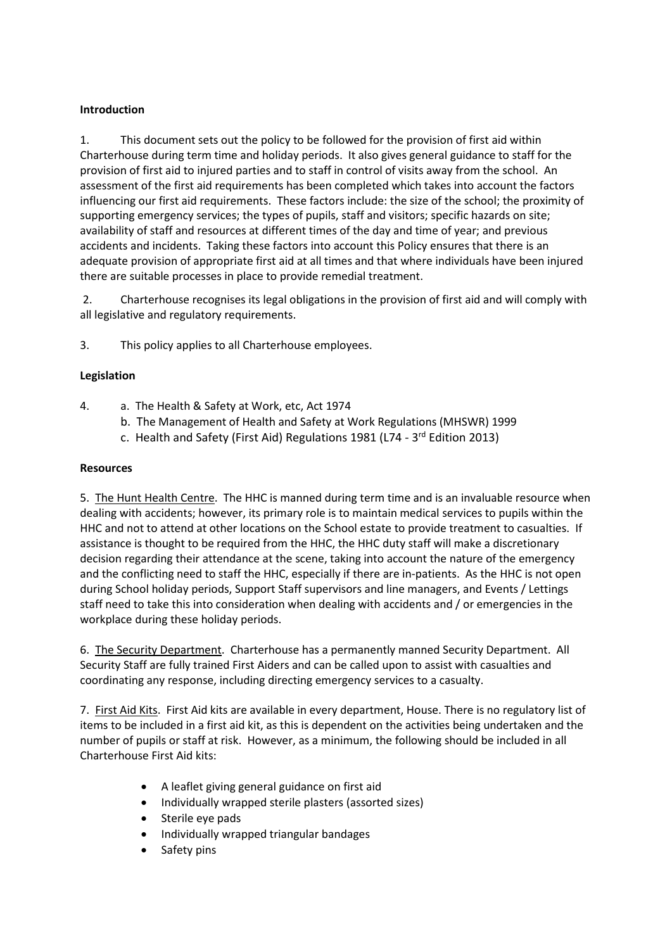# **Introduction**

1. This document sets out the policy to be followed for the provision of first aid within Charterhouse during term time and holiday periods. It also gives general guidance to staff for the provision of first aid to injured parties and to staff in control of visits away from the school. An assessment of the first aid requirements has been completed which takes into account the factors influencing our first aid requirements. These factors include: the size of the school; the proximity of supporting emergency services; the types of pupils, staff and visitors; specific hazards on site; availability of staff and resources at different times of the day and time of year; and previous accidents and incidents. Taking these factors into account this Policy ensures that there is an adequate provision of appropriate first aid at all times and that where individuals have been injured there are suitable processes in place to provide remedial treatment.

2. Charterhouse recognises its legal obligations in the provision of first aid and will comply with all legislative and regulatory requirements.

3. This policy applies to all Charterhouse employees.

# **Legislation**

- 4. a. The Health & Safety at Work, etc, Act 1974
	- b. The Management of Health and Safety at Work Regulations (MHSWR) 1999
	- c. Health and Safety (First Aid) Regulations 1981 (L74 3<sup>rd</sup> Edition 2013)

## **Resources**

5. The Hunt Health Centre. The HHC is manned during term time and is an invaluable resource when dealing with accidents; however, its primary role is to maintain medical services to pupils within the HHC and not to attend at other locations on the School estate to provide treatment to casualties. If assistance is thought to be required from the HHC, the HHC duty staff will make a discretionary decision regarding their attendance at the scene, taking into account the nature of the emergency and the conflicting need to staff the HHC, especially if there are in-patients. As the HHC is not open during School holiday periods, Support Staff supervisors and line managers, and Events / Lettings staff need to take this into consideration when dealing with accidents and / or emergencies in the workplace during these holiday periods.

6. The Security Department. Charterhouse has a permanently manned Security Department. All Security Staff are fully trained First Aiders and can be called upon to assist with casualties and coordinating any response, including directing emergency services to a casualty.

7. First Aid Kits. First Aid kits are available in every department, House. There is no regulatory list of items to be included in a first aid kit, as this is dependent on the activities being undertaken and the number of pupils or staff at risk. However, as a minimum, the following should be included in all Charterhouse First Aid kits:

- A leaflet giving general guidance on first aid
- Individually wrapped sterile plasters (assorted sizes)
- Sterile eye pads
- Individually wrapped triangular bandages
- Safety pins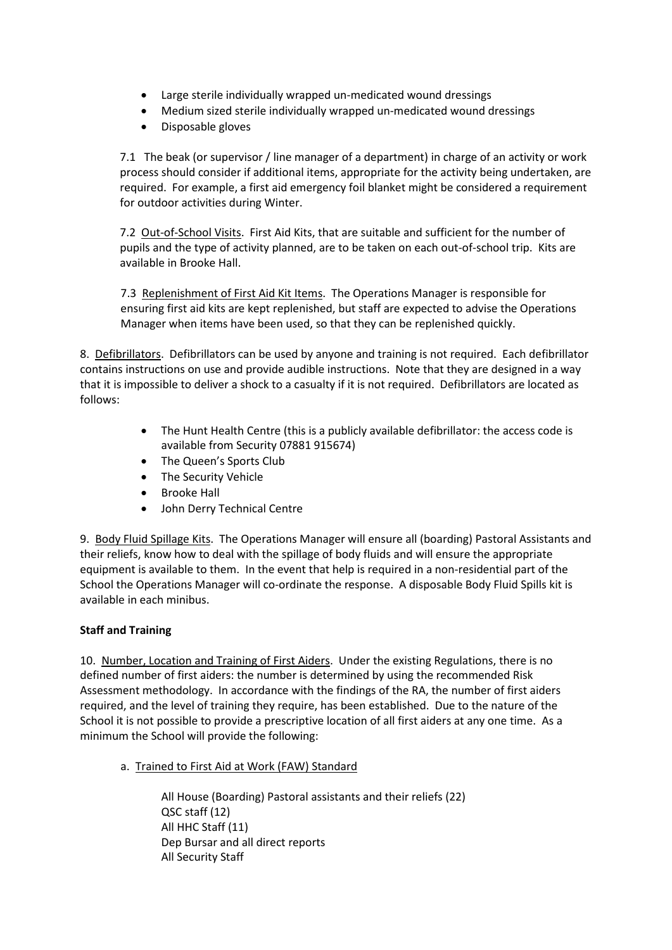- Large sterile individually wrapped un-medicated wound dressings
- Medium sized sterile individually wrapped un-medicated wound dressings
- Disposable gloves

7.1 The beak (or supervisor / line manager of a department) in charge of an activity or work process should consider if additional items, appropriate for the activity being undertaken, are required. For example, a first aid emergency foil blanket might be considered a requirement for outdoor activities during Winter.

7.2Out-of-School Visits. First Aid Kits, that are suitable and sufficient for the number of pupils and the type of activity planned, are to be taken on each out-of-school trip. Kits are available in Brooke Hall.

7.3 Replenishment of First Aid Kit Items. The Operations Manager is responsible for ensuring first aid kits are kept replenished, but staff are expected to advise the Operations Manager when items have been used, so that they can be replenished quickly.

8. Defibrillators. Defibrillators can be used by anyone and training is not required. Each defibrillator contains instructions on use and provide audible instructions. Note that they are designed in a way that it is impossible to deliver a shock to a casualty if it is not required. Defibrillators are located as follows:

- The Hunt Health Centre (this is a publicly available defibrillator: the access code is available from Security 07881 915674)
- The Queen's Sports Club
- The Security Vehicle
- Brooke Hall
- John Derry Technical Centre

9.Body Fluid Spillage Kits. The Operations Manager will ensure all (boarding) Pastoral Assistants and their reliefs, know how to deal with the spillage of body fluids and will ensure the appropriate equipment is available to them. In the event that help is required in a non-residential part of the School the Operations Manager will co-ordinate the response. A disposable Body Fluid Spills kit is available in each minibus.

## **Staff and Training**

10.Number, Location and Training of First Aiders. Under the existing Regulations, there is no defined number of first aiders: the number is determined by using the recommended Risk Assessment methodology. In accordance with the findings of the RA, the number of first aiders required, and the level of training they require, has been established. Due to the nature of the School it is not possible to provide a prescriptive location of all first aiders at any one time. As a minimum the School will provide the following:

a. Trained to First Aid at Work (FAW) Standard

All House (Boarding) Pastoral assistants and their reliefs (22) QSC staff (12) All HHC Staff (11) Dep Bursar and all direct reports All Security Staff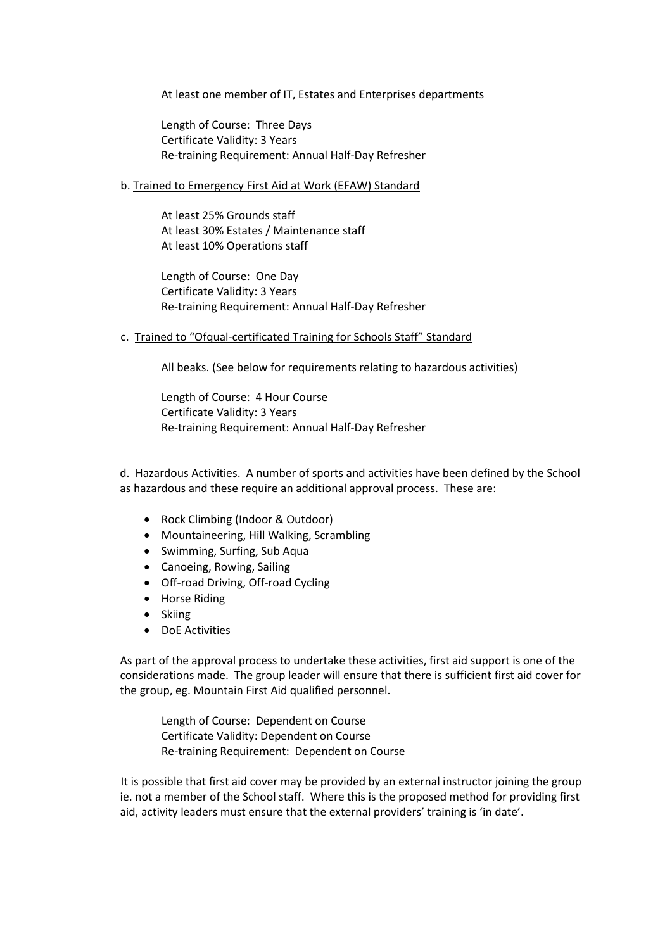At least one member of IT, Estates and Enterprises departments

Length of Course: Three Days Certificate Validity: 3 Years Re-training Requirement: Annual Half-Day Refresher

### b. Trained to Emergency First Aid at Work (EFAW) Standard

At least 25% Grounds staff At least 30% Estates / Maintenance staff At least 10% Operations staff

Length of Course: One Day Certificate Validity: 3 Years Re-training Requirement: Annual Half-Day Refresher

c. Trained to "Ofqual-certificated Training for Schools Staff" Standard

All beaks. (See below for requirements relating to hazardous activities)

Length of Course: 4 Hour Course Certificate Validity: 3 Years Re-training Requirement: Annual Half-Day Refresher

d. Hazardous Activities. A number of sports and activities have been defined by the School as hazardous and these require an additional approval process. These are:

- Rock Climbing (Indoor & Outdoor)
- Mountaineering, Hill Walking, Scrambling
- Swimming, Surfing, Sub Aqua
- Canoeing, Rowing, Sailing
- Off-road Driving, Off-road Cycling
- Horse Riding
- Skiing
- DoE Activities

As part of the approval process to undertake these activities, first aid support is one of the considerations made. The group leader will ensure that there is sufficient first aid cover for the group, eg. Mountain First Aid qualified personnel.

Length of Course: Dependent on Course Certificate Validity: Dependent on Course Re-training Requirement: Dependent on Course

It is possible that first aid cover may be provided by an external instructor joining the group ie. not a member of the School staff. Where this is the proposed method for providing first aid, activity leaders must ensure that the external providers' training is 'in date'.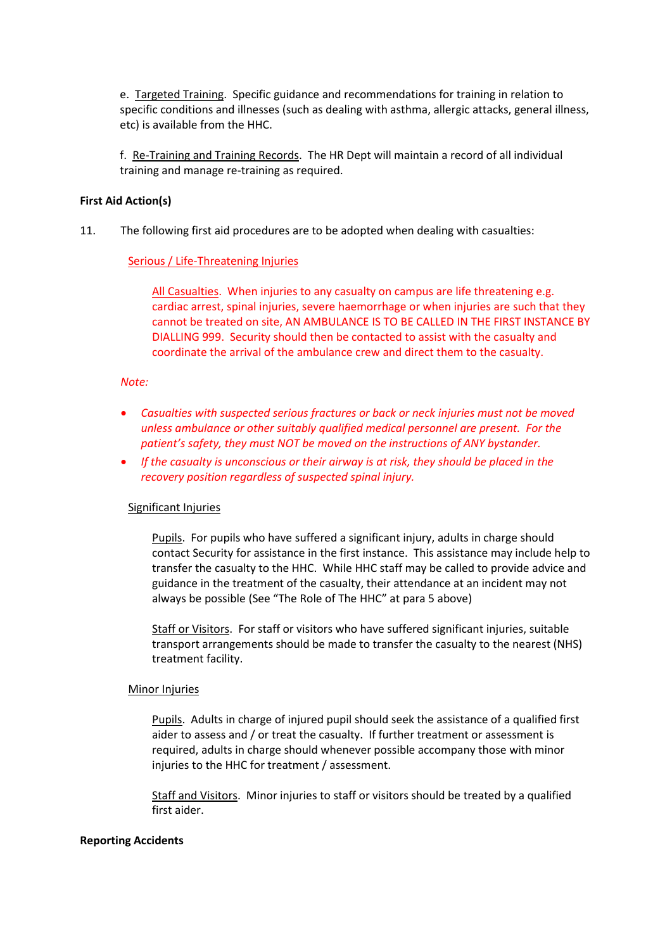e. Targeted Training. Specific guidance and recommendations for training in relation to specific conditions and illnesses (such as dealing with asthma, allergic attacks, general illness, etc) is available from the HHC.

f. Re-Training and Training Records. The HR Dept will maintain a record of all individual training and manage re-training as required.

#### **First Aid Action(s)**

11. The following first aid procedures are to be adopted when dealing with casualties:

#### Serious / Life-Threatening Injuries

All Casualties. When injuries to any casualty on campus are life threatening e.g. cardiac arrest, spinal injuries, severe haemorrhage or when injuries are such that they cannot be treated on site, AN AMBULANCE IS TO BE CALLED IN THE FIRST INSTANCE BY DIALLING 999. Security should then be contacted to assist with the casualty and coordinate the arrival of the ambulance crew and direct them to the casualty.

#### *Note:*

- *Casualties with suspected serious fractures or back or neck injuries must not be moved unless ambulance or other suitably qualified medical personnel are present. For the patient's safety, they must NOT be moved on the instructions of ANY bystander.*
- *If the casualty is unconscious or their airway is at risk, they should be placed in the recovery position regardless of suspected spinal injury.*

#### Significant Injuries

Pupils. For pupils who have suffered a significant injury, adults in charge should contact Security for assistance in the first instance. This assistance may include help to transfer the casualty to the HHC. While HHC staff may be called to provide advice and guidance in the treatment of the casualty, their attendance at an incident may not always be possible (See "The Role of The HHC" at para 5 above)

Staff or Visitors. For staff or visitors who have suffered significant injuries, suitable transport arrangements should be made to transfer the casualty to the nearest (NHS) treatment facility.

#### Minor Injuries

Pupils. Adults in charge of injured pupil should seek the assistance of a qualified first aider to assess and / or treat the casualty. If further treatment or assessment is required, adults in charge should whenever possible accompany those with minor injuries to the HHC for treatment / assessment.

Staff and Visitors. Minor injuries to staff or visitors should be treated by a qualified first aider.

#### **Reporting Accidents**